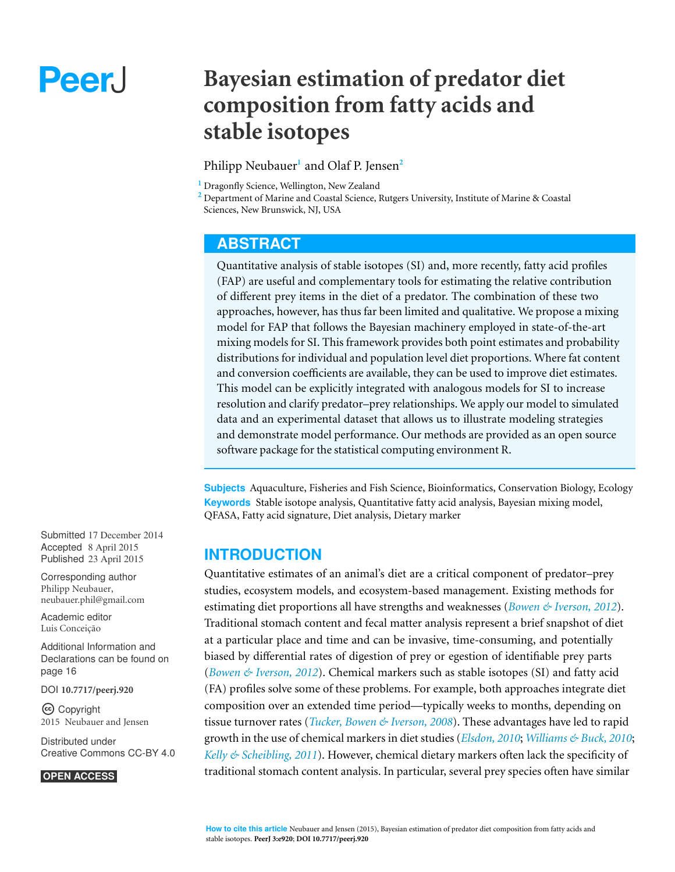# Peer.

# **Bayesian estimation of predator diet composition from fatty acids and stable isotopes**

#### Philipp Neubauer**<sup>1</sup>** and Olaf P. Jensen**<sup>2</sup>**

**<sup>1</sup>** Dragonfly Science, Wellington, New Zealand

**<sup>2</sup>** Department of Marine and Coastal Science, Rutgers University, Institute of Marine & Coastal Sciences, New Brunswick, NJ, USA

# **ABSTRACT**

Quantitative analysis of stable isotopes (SI) and, more recently, fatty acid profiles (FAP) are useful and complementary tools for estimating the relative contribution of different prey items in the diet of a predator. The combination of these two approaches, however, has thus far been limited and qualitative. We propose a mixing model for FAP that follows the Bayesian machinery employed in state-of-the-art mixing models for SI. This framework provides both point estimates and probability distributions for individual and population level diet proportions. Where fat content and conversion coefficients are available, they can be used to improve diet estimates. This model can be explicitly integrated with analogous models for SI to increase resolution and clarify predator–prey relationships. We apply our model to simulated data and an experimental dataset that allows us to illustrate modeling strategies and demonstrate model performance. Our methods are provided as an open source software package for the statistical computing environment R.

**Subjects** Aquaculture, Fisheries and Fish Science, Bioinformatics, Conservation Biology, Ecology **Keywords** Stable isotope analysis, Quantitative fatty acid analysis, Bayesian mixing model, QFASA, Fatty acid signature, Diet analysis, Dietary marker

# **INTRODUCTION**

Quantitative estimates of an animal's diet are a critical component of predator–prey studies, ecosystem models, and ecosystem-based management. Existing methods for estimating diet proportions all have strengths and weaknesses (*[Bowen](#page-16-0) [&](#page-16-0) [Iverson,](#page-16-0) [2012](#page-16-0)*). Traditional stomach content and fecal matter analysis represent a brief snapshot of diet at a particular place and time and can be invasive, time-consuming, and potentially biased by differential rates of digestion of prey or egestion of identifiable prey parts (*[Bowen](#page-16-0) [&](#page-16-0) [Iverson,](#page-16-0) [2012](#page-16-0)*). Chemical markers such as stable isotopes (SI) and fatty acid (FA) profiles solve some of these problems. For example, both approaches integrate diet composition over an extended time period—typically weeks to months, depending on tissue turnover rates (*[Tucker,](#page-18-0) [Bowen](#page-18-0) [&](#page-18-0) [Iverson,](#page-18-0) [2008](#page-18-0)*). These advantages have led to rapid growth in the use of chemical markers in diet studies (*[Elsdon,](#page-16-1) [2010](#page-16-1)*; *[Williams](#page-18-1) [&](#page-18-1) [Buck,](#page-18-1) [2010](#page-18-1)*; *[Kelly](#page-17-0) [&](#page-17-0) [Scheibling,](#page-17-0) [2011](#page-17-0)*). However, chemical dietary markers often lack the specificity of traditional stomach content analysis. In particular, several prey species often have similar

Submitted 17 December 2014 Accepted 8 April 2015 Published 23 April 2015

Corresponding author Philipp Neubauer, [neubauer.phil@gmail.com](mailto:neubauer.phil@gmail.com)

[Academic editor](https://peerj.com/academic-boards/editors/) Luis Conceição

[Additional Information and](#page-15-0) [Declarations can be found on](#page-15-0) [page 16](#page-15-0)

[DOI](http://dx.doi.org/10.7717/peerj.920) **[10.7717/peerj.920](http://dx.doi.org/10.7717/peerj.920)**

Copyright 2015 Neubauer and Jensen

[Distributed under](http://creativecommons.org/licenses/by/4.0/) [Creative Commons CC-BY 4.0](http://creativecommons.org/licenses/by/4.0/)

#### **OPEN ACCESS**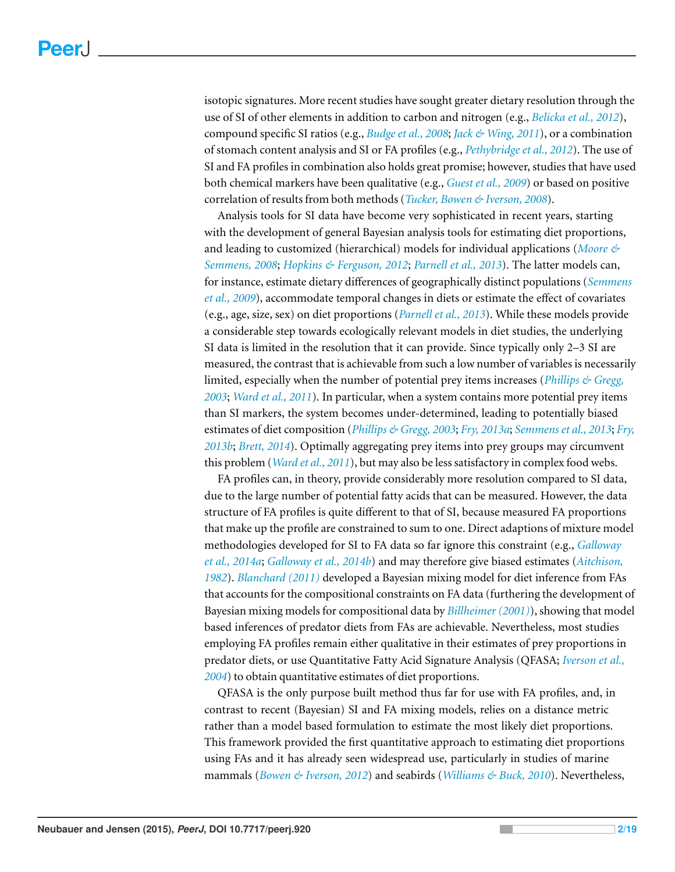isotopic signatures. More recent studies have sought greater dietary resolution through the use of SI of other elements in addition to carbon and nitrogen (e.g., *[Belicka](#page-15-1) [et](#page-15-1) [al.,](#page-15-1) [2012](#page-15-1)*), compound specific SI ratios (e.g., *[Budge](#page-16-2) [et](#page-16-2) [al.,](#page-16-2) [2008](#page-16-2)*; *[Jack](#page-17-1) [&](#page-17-1) [Wing,](#page-17-1) [2011](#page-17-1)*), or a combination of stomach content analysis and SI or FA profiles (e.g., *[Pethybridge](#page-17-2) [et](#page-17-2) [al.,](#page-17-2) [2012](#page-17-2)*). The use of SI and FA profiles in combination also holds great promise; however, studies that have used both chemical markers have been qualitative (e.g., *[Guest](#page-16-3) [et](#page-16-3) [al.,](#page-16-3) [2009](#page-16-3)*) or based on positive correlation of results from both methods (*[Tucker,](#page-18-0) [Bowen](#page-18-0) [&](#page-18-0) [Iverson,](#page-18-0) [2008](#page-18-0)*).

Analysis tools for SI data have become very sophisticated in recent years, starting with the development of general Bayesian analysis tools for estimating diet proportions, and leading to customized (hierarchical) models for individual applications (*[Moore](#page-17-3) [&](#page-17-3) [Semmens,](#page-17-3) [2008](#page-17-3)*; *[Hopkins](#page-16-4) [&](#page-16-4) [Ferguson,](#page-16-4) [2012](#page-16-4)*; *[Parnell](#page-17-4) [et](#page-17-4) [al.,](#page-17-4) [2013](#page-17-4)*). The latter models can, for instance, estimate dietary differences of geographically distinct populations (*[Semmens](#page-17-5) [et](#page-17-5) [al.,](#page-17-5) [2009](#page-17-5)*), accommodate temporal changes in diets or estimate the effect of covariates (e.g., age, size, sex) on diet proportions (*[Parnell](#page-17-4) [et](#page-17-4) [al.,](#page-17-4) [2013](#page-17-4)*). While these models provide a considerable step towards ecologically relevant models in diet studies, the underlying SI data is limited in the resolution that it can provide. Since typically only 2–3 SI are measured, the contrast that is achievable from such a low number of variables is necessarily limited, especially when the number of potential prey items increases (*[Phillips](#page-17-6) [&](#page-17-6) [Gregg,](#page-17-6) [2003](#page-17-6)*; *[Ward](#page-18-2) [et](#page-18-2) [al.,](#page-18-2) [2011](#page-18-2)*). In particular, when a system contains more potential prey items than SI markers, the system becomes under-determined, leading to potentially biased estimates of diet composition (*[Phillips](#page-17-6) [&](#page-17-6) [Gregg,](#page-17-6) [2003](#page-17-6)*; *[Fry,](#page-16-5) [2013a](#page-16-5)*; *[Semmenset](#page-17-7) [al.,](#page-17-7) [2013](#page-17-7)*; *[Fry,](#page-16-6) [2013b](#page-16-6)*; *[Brett,](#page-16-7) [2014](#page-16-7)*). Optimally aggregating prey items into prey groups may circumvent this problem (*[Ward](#page-18-2) [et](#page-18-2) [al.,](#page-18-2) [2011](#page-18-2)*), but may also be less satisfactory in complex food webs.

FA profiles can, in theory, provide considerably more resolution compared to SI data, due to the large number of potential fatty acids that can be measured. However, the data structure of FA profiles is quite different to that of SI, because measured FA proportions that make up the profile are constrained to sum to one. Direct adaptions of mixture model methodologies developed for SI to FA data so far ignore this constraint (e.g., *[Galloway](#page-16-8) [et](#page-16-8) [al.,](#page-16-8) [2014a](#page-16-8)*; *[Galloway](#page-16-9) [et](#page-16-9) [al.,](#page-16-9) [2014b](#page-16-9)*) and may therefore give biased estimates (*[Aitchison,](#page-15-2) [1982](#page-15-2)*). *[Blanchard](#page-16-10) [\(2011\)](#page-16-10)* developed a Bayesian mixing model for diet inference from FAs that accounts for the compositional constraints on FA data (furthering the development of Bayesian mixing models for compositional data by *[Billheimer](#page-16-11) [\(2001\)](#page-16-11)*), showing that model based inferences of predator diets from FAs are achievable. Nevertheless, most studies employing FA profiles remain either qualitative in their estimates of prey proportions in predator diets, or use Quantitative Fatty Acid Signature Analysis (QFASA; *[Iverson](#page-16-12) [et](#page-16-12) [al.,](#page-16-12) [2004](#page-16-12)*) to obtain quantitative estimates of diet proportions.

QFASA is the only purpose built method thus far for use with FA profiles, and, in contrast to recent (Bayesian) SI and FA mixing models, relies on a distance metric rather than a model based formulation to estimate the most likely diet proportions. This framework provided the first quantitative approach to estimating diet proportions using FAs and it has already seen widespread use, particularly in studies of marine mammals (*[Bowen](#page-16-0) [&](#page-16-0) [Iverson,](#page-16-0) [2012](#page-16-0)*) and seabirds (*[Williams](#page-18-1) [&](#page-18-1) [Buck,](#page-18-1) [2010](#page-18-1)*). Nevertheless,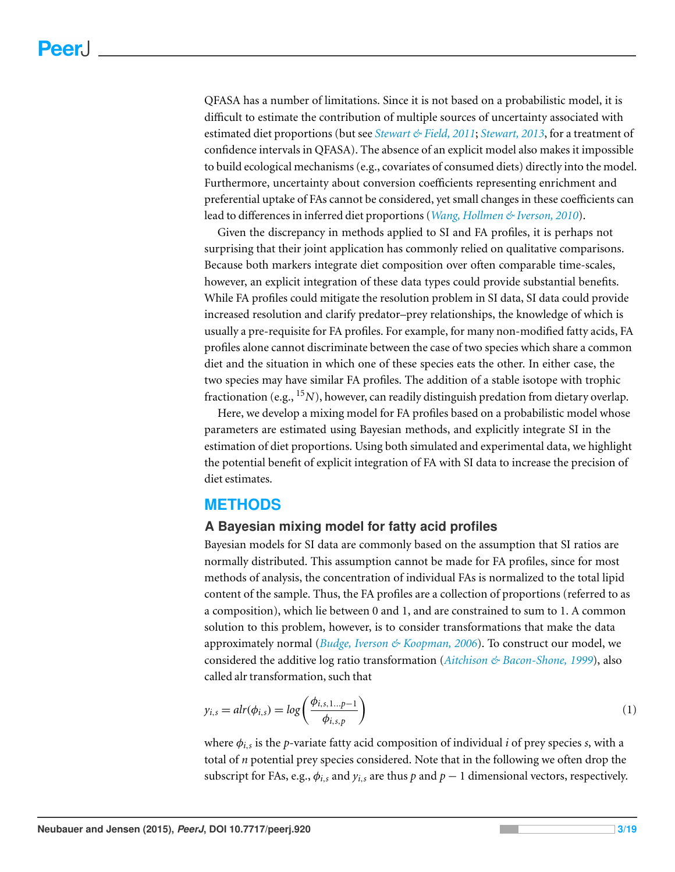QFASA has a number of limitations. Since it is not based on a probabilistic model, it is difficult to estimate the contribution of multiple sources of uncertainty associated with estimated diet proportions (but see *[Stewart](#page-17-8) [&](#page-17-8) [Field,](#page-17-8) [2011](#page-17-8)*; *[Stewart,](#page-17-9) [2013](#page-17-9)*, for a treatment of confidence intervals in QFASA). The absence of an explicit model also makes it impossible to build ecological mechanisms (e.g., covariates of consumed diets) directly into the model. Furthermore, uncertainty about conversion coefficients representing enrichment and preferential uptake of FAs cannot be considered, yet small changes in these coefficients can lead to differences in inferred diet proportions (*[Wang,](#page-18-3) [Hollmen](#page-18-3) [&](#page-18-3) [Iverson,](#page-18-3) [2010](#page-18-3)*).

Given the discrepancy in methods applied to SI and FA profiles, it is perhaps not surprising that their joint application has commonly relied on qualitative comparisons. Because both markers integrate diet composition over often comparable time-scales, however, an explicit integration of these data types could provide substantial benefits. While FA profiles could mitigate the resolution problem in SI data, SI data could provide increased resolution and clarify predator–prey relationships, the knowledge of which is usually a pre-requisite for FA profiles. For example, for many non-modified fatty acids, FA profiles alone cannot discriminate between the case of two species which share a common diet and the situation in which one of these species eats the other. In either case, the two species may have similar FA profiles. The addition of a stable isotope with trophic fractionation (e.g., <sup>15</sup>*N*), however, can readily distinguish predation from dietary overlap.

Here, we develop a mixing model for FA profiles based on a probabilistic model whose parameters are estimated using Bayesian methods, and explicitly integrate SI in the estimation of diet proportions. Using both simulated and experimental data, we highlight the potential benefit of explicit integration of FA with SI data to increase the precision of diet estimates.

# **METHODS**

#### **A Bayesian mixing model for fatty acid profiles**

Bayesian models for SI data are commonly based on the assumption that SI ratios are normally distributed. This assumption cannot be made for FA profiles, since for most methods of analysis, the concentration of individual FAs is normalized to the total lipid content of the sample. Thus, the FA profiles are a collection of proportions (referred to as a composition), which lie between 0 and 1, and are constrained to sum to 1. A common solution to this problem, however, is to consider transformations that make the data approximately normal (*[Budge,](#page-16-13) [Iverson](#page-16-13) [&](#page-16-13) [Koopman,](#page-16-13) [2006](#page-16-13)*). To construct our model, we considered the additive log ratio transformation (*[Aitchison](#page-15-3) [&](#page-15-3) [Bacon-Shone,](#page-15-3) [1999](#page-15-3)*), also called alr transformation, such that

$$
y_{i,s} = alr(\phi_{i,s}) = \log\left(\frac{\phi_{i,s,1\ldots p-1}}{\phi_{i,s,p}}\right)
$$
\n<sup>(1)</sup>

where φ*i*,*<sup>s</sup>* is the *p*-variate fatty acid composition of individual *i* of prey species *s*, with a total of *n* potential prey species considered. Note that in the following we often drop the subscript for FAs, e.g.,  $\phi$ *i*,*s* and  $\gamma$ *i*,*s* are thus *p* and *p* − 1 dimensional vectors, respectively.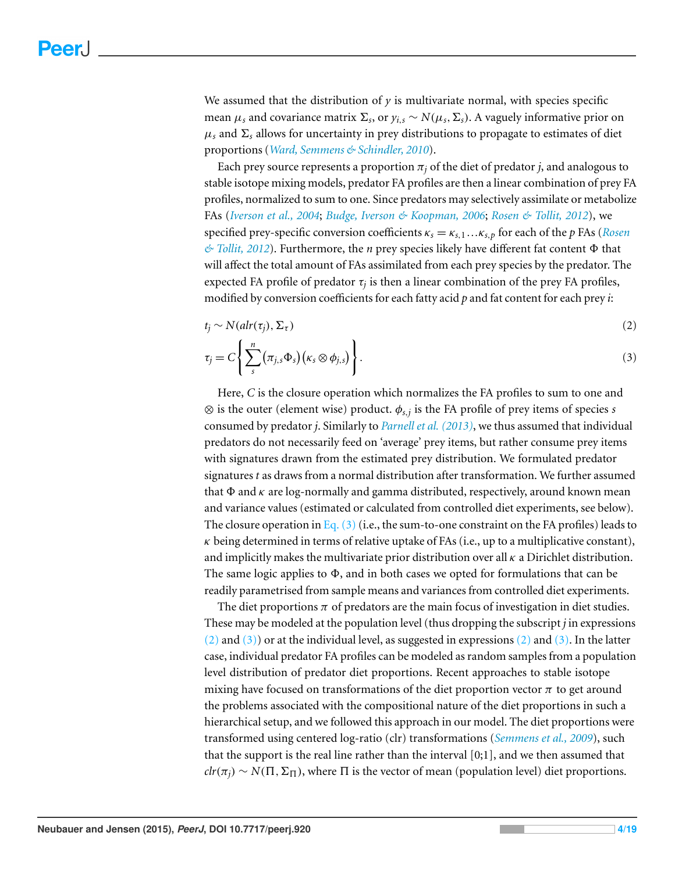We assumed that the distribution of *y* is multivariate normal, with species specific mean  $\mu_s$  and covariance matrix  $\Sigma_s$ , or  $y_{i,s} \sim N(\mu_s, \Sigma_s)$ . A vaguely informative prior on  $\mu_s$  and  $\Sigma_s$  allows for uncertainty in prey distributions to propagate to estimates of diet proportions (*[Ward,](#page-18-4) [Semmens](#page-18-4) [&](#page-18-4) [Schindler,](#page-18-4) [2010](#page-18-4)*).

Each prey source represents a proportion  $\pi_i$  of the diet of predator *j*, and analogous to stable isotope mixing models, predator FA profiles are then a linear combination of prey FA profiles, normalized to sum to one. Since predators may selectively assimilate or metabolize FAs (*[Iverson](#page-16-12) [et](#page-16-12) [al.,](#page-16-12) [2004](#page-16-12)*; *[Budge,](#page-16-13) [Iverson](#page-16-13) [&](#page-16-13) [Koopman,](#page-16-13) [2006](#page-16-13)*; *[Rosen](#page-17-10) [&](#page-17-10) [Tollit,](#page-17-10) [2012](#page-17-10)*), we specified prey-specific conversion coefficients κ*<sup>s</sup>* = κ*s*,<sup>1</sup> ...κ*s*,*<sup>p</sup>* for each of the *p* FAs (*[Rosen](#page-17-10) [&](#page-17-10) [Tollit,](#page-17-10) [2012](#page-17-10)*). Furthermore, the *n* prey species likely have different fat content Φ that will affect the total amount of FAs assimilated from each prey species by the predator. The expected FA profile of predator  $\tau_j$  is then a linear combination of the prey FA profiles, modified by conversion coefficients for each fatty acid *p* and fat content for each prey *i*:

$$
t_j \sim N(alr(\tau_j), \Sigma_{\tau})
$$
\n<sup>(2)</sup>

<span id="page-3-1"></span><span id="page-3-0"></span>
$$
\tau_j = C \Bigg\{ \sum_s^n \big( \pi_{j,s} \Phi_s \big) \big( \kappa_s \otimes \phi_{j,s} \big) \Bigg\} . \tag{3}
$$

Here, *C* is the closure operation which normalizes the FA profiles to sum to one and ⊗ is the outer (element wise) product. φ*s*,*<sup>j</sup>* is the FA profile of prey items of species *s* consumed by predator *j*. Similarly to *[Parnell](#page-17-4) [et](#page-17-4) [al.](#page-17-4) [\(2013\)](#page-17-4)*, we thus assumed that individual predators do not necessarily feed on 'average' prey items, but rather consume prey items with signatures drawn from the estimated prey distribution. We formulated predator signatures *t* as draws from a normal distribution after transformation. We further assumed that  $\Phi$  and  $\kappa$  are log-normally and gamma distributed, respectively, around known mean and variance values (estimated or calculated from controlled diet experiments, see below). The closure operation in Eq.  $(3)$  (i.e., the sum-to-one constraint on the FA profiles) leads to  $\kappa$  being determined in terms of relative uptake of FAs (i.e., up to a multiplicative constant), and implicitly makes the multivariate prior distribution over all  $\kappa$  a Dirichlet distribution. The same logic applies to  $\Phi$ , and in both cases we opted for formulations that can be readily parametrised from sample means and variances from controlled diet experiments.

The diet proportions  $\pi$  of predators are the main focus of investigation in diet studies. These may be modeled at the population level (thus dropping the subscript *j* in expressions  $(2)$  and  $(3)$ ) or at the individual level, as suggested in expressions  $(2)$  and  $(3)$ . In the latter case, individual predator FA profiles can be modeled as random samples from a population level distribution of predator diet proportions. Recent approaches to stable isotope mixing have focused on transformations of the diet proportion vector  $\pi$  to get around the problems associated with the compositional nature of the diet proportions in such a hierarchical setup, and we followed this approach in our model. The diet proportions were transformed using centered log-ratio (clr) transformations (*[Semmens](#page-17-5) [et](#page-17-5) [al.,](#page-17-5) [2009](#page-17-5)*), such that the support is the real line rather than the interval [0;1], and we then assumed that  $\hat{clr}(\pi_i) \sim N(\Pi, \Sigma_{\Pi})$ , where  $\Pi$  is the vector of mean (population level) diet proportions.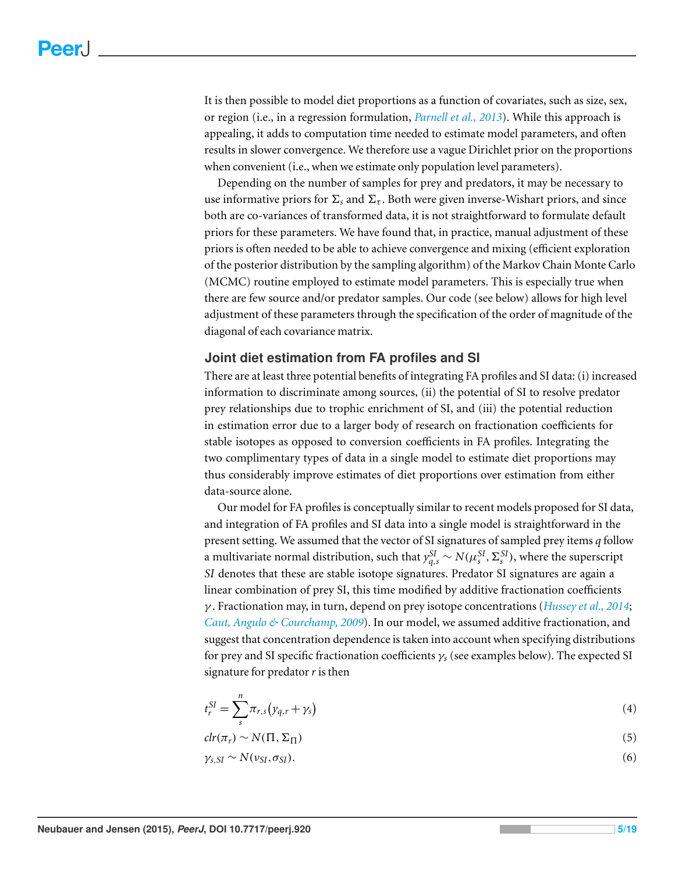It is then possible to model diet proportions as a function of covariates, such as size, sex, or region (i.e., in a regression formulation, *[Parnell](#page-17-4) [et](#page-17-4) [al.,](#page-17-4) [2013](#page-17-4)*). While this approach is appealing, it adds to computation time needed to estimate model parameters, and often results in slower convergence. We therefore use a vague Dirichlet prior on the proportions when convenient (i.e., when we estimate only population level parameters).

Depending on the number of samples for prey and predators, it may be necessary to use informative priors for  $\Sigma_s$  and  $\Sigma_{\tau}$ . Both were given inverse-Wishart priors, and since both are co-variances of transformed data, it is not straightforward to formulate default priors for these parameters. We have found that, in practice, manual adjustment of these priors is often needed to be able to achieve convergence and mixing (efficient exploration of the posterior distribution by the sampling algorithm) of the Markov Chain Monte Carlo (MCMC) routine employed to estimate model parameters. This is especially true when there are few source and/or predator samples. Our code (see below) allows for high level adjustment of these parameters through the specification of the order of magnitude of the diagonal of each covariance matrix.

#### **Joint diet estimation from FA profiles and SI**

There are at least three potential benefits of integrating FA profiles and SI data: (i) increased information to discriminate among sources, (ii) the potential of SI to resolve predator prey relationships due to trophic enrichment of SI, and (iii) the potential reduction in estimation error due to a larger body of research on fractionation coefficients for stable isotopes as opposed to conversion coefficients in FA profiles. Integrating the two complimentary types of data in a single model to estimate diet proportions may thus considerably improve estimates of diet proportions over estimation from either data-source alone.

Our model for FA profiles is conceptually similar to recent models proposed for SI data, and integration of FA profiles and SI data into a single model is straightforward in the present setting. We assumed that the vector of SI signatures of sampled prey items *q* follow a multivariate normal distribution, such that  $y_{q,s}^{SI} \sim N(\mu_s^{SI}, \Sigma_s^{SI})$ , where the superscript *SI* denotes that these are stable isotope signatures. Predator SI signatures are again a linear combination of prey SI, this time modified by additive fractionation coefficients γ . Fractionation may, in turn, depend on prey isotope concentrations (*[Hussey](#page-16-14) [et](#page-16-14) [al.,](#page-16-14) [2014](#page-16-14)*; *[Caut,](#page-16-15) [Angulo](#page-16-15) [&](#page-16-15) [Courchamp,](#page-16-15) [2009](#page-16-15)*). In our model, we assumed additive fractionation, and suggest that concentration dependence is taken into account when specifying distributions for prey and SI specific fractionation coefficients γ*<sup>s</sup>* (see examples below). The expected SI signature for predator*r* is then

$$
t_r^{SI} = \sum_s^n \pi_{r,s} (y_{q,r} + \gamma_s) \tag{4}
$$

$$
clr(\pi_r) \sim N(\Pi, \Sigma_{\Pi})
$$
\n(5)

$$
\gamma_{s,SI} \sim N(\nu_{SI}, \sigma_{SI}). \tag{6}
$$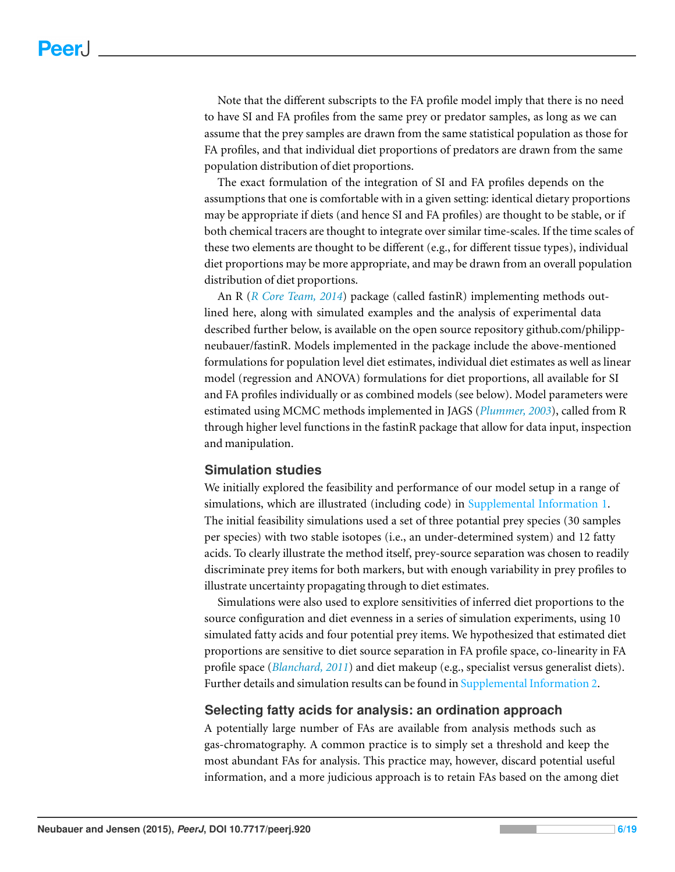Note that the different subscripts to the FA profile model imply that there is no need to have SI and FA profiles from the same prey or predator samples, as long as we can assume that the prey samples are drawn from the same statistical population as those for FA profiles, and that individual diet proportions of predators are drawn from the same population distribution of diet proportions.

The exact formulation of the integration of SI and FA profiles depends on the assumptions that one is comfortable with in a given setting: identical dietary proportions may be appropriate if diets (and hence SI and FA profiles) are thought to be stable, or if both chemical tracers are thought to integrate over similar time-scales. If the time scales of these two elements are thought to be different (e.g., for different tissue types), individual diet proportions may be more appropriate, and may be drawn from an overall population distribution of diet proportions.

An R (*[R](#page-17-11) [Core](#page-17-11) [Team,](#page-17-11) [2014](#page-17-11)*) package (called fastinR) implementing methods outlined here, along with simulated examples and the analysis of experimental data described further below, is available on the open source repository github.com/philippneubauer/fastinR. Models implemented in the package include the above-mentioned formulations for population level diet estimates, individual diet estimates as well as linear model (regression and ANOVA) formulations for diet proportions, all available for SI and FA profiles individually or as combined models (see below). Model parameters were estimated using MCMC methods implemented in JAGS (*[Plummer,](#page-17-12) [2003](#page-17-12)*), called from R through higher level functions in the fastinR package that allow for data input, inspection and manipulation.

#### **Simulation studies**

We initially explored the feasibility and performance of our model setup in a range of simulations, which are illustrated (including code) in [Supplemental](http://dx.doi.org/10.7717/peerj.920/supp-1) [Information](http://dx.doi.org/10.7717/peerj.920/supp-1) [1.](http://dx.doi.org/10.7717/peerj.920/supp-1) The initial feasibility simulations used a set of three potantial prey species (30 samples per species) with two stable isotopes (i.e., an under-determined system) and 12 fatty acids. To clearly illustrate the method itself, prey-source separation was chosen to readily discriminate prey items for both markers, but with enough variability in prey profiles to illustrate uncertainty propagating through to diet estimates.

Simulations were also used to explore sensitivities of inferred diet proportions to the source configuration and diet evenness in a series of simulation experiments, using 10 simulated fatty acids and four potential prey items. We hypothesized that estimated diet proportions are sensitive to diet source separation in FA profile space, co-linearity in FA profile space (*[Blanchard,](#page-16-10) [2011](#page-16-10)*) and diet makeup (e.g., specialist versus generalist diets). Further details and simulation results can be found in [Supplemental](http://dx.doi.org/10.7717/peerj.920/supp-2) [Information](http://dx.doi.org/10.7717/peerj.920/supp-2) [2.](http://dx.doi.org/10.7717/peerj.920/supp-2)

#### **Selecting fatty acids for analysis: an ordination approach**

A potentially large number of FAs are available from analysis methods such as gas-chromatography. A common practice is to simply set a threshold and keep the most abundant FAs for analysis. This practice may, however, discard potential useful information, and a more judicious approach is to retain FAs based on the among diet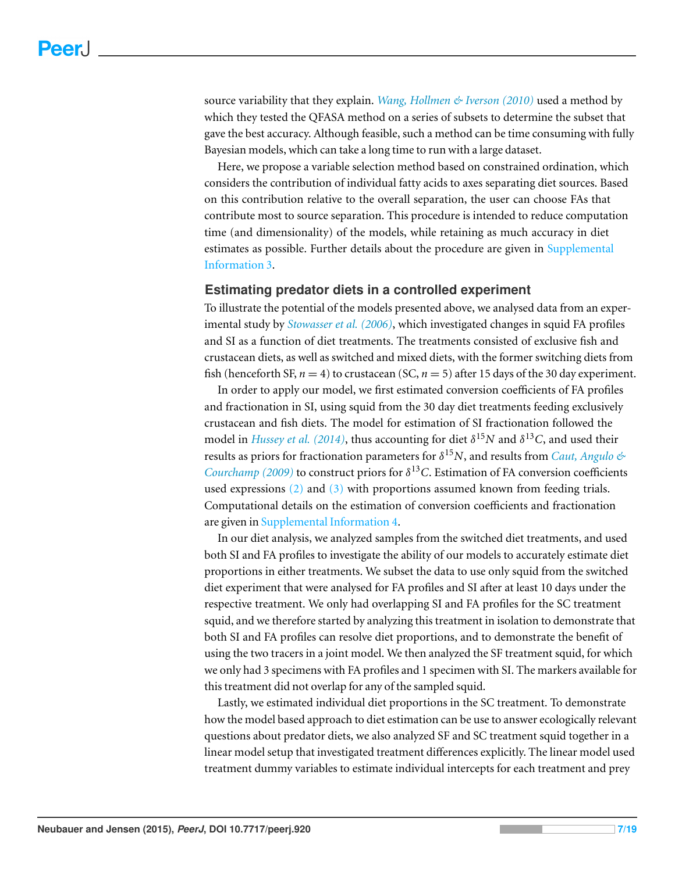source variability that they explain. *[Wang,](#page-18-3) [Hollmen](#page-18-3) [&](#page-18-3) [Iverson](#page-18-3) [\(2010\)](#page-18-3)* used a method by which they tested the QFASA method on a series of subsets to determine the subset that gave the best accuracy. Although feasible, such a method can be time consuming with fully Bayesian models, which can take a long time to run with a large dataset.

Here, we propose a variable selection method based on constrained ordination, which considers the contribution of individual fatty acids to axes separating diet sources. Based on this contribution relative to the overall separation, the user can choose FAs that contribute most to source separation. This procedure is intended to reduce computation time (and dimensionality) of the models, while retaining as much accuracy in diet estimates as possible. Further details about the procedure are given in [Supplemental](http://dx.doi.org/10.7717/peerj.920/supp-3) [Information](http://dx.doi.org/10.7717/peerj.920/supp-3) [3.](http://dx.doi.org/10.7717/peerj.920/supp-3)

#### **Estimating predator diets in a controlled experiment**

To illustrate the potential of the models presented above, we analysed data from an experimental study by *[Stowasser](#page-17-13) [et](#page-17-13) [al.](#page-17-13) [\(2006\)](#page-17-13)*, which investigated changes in squid FA profiles and SI as a function of diet treatments. The treatments consisted of exclusive fish and crustacean diets, as well as switched and mixed diets, with the former switching diets from fish (henceforth SF,  $n = 4$ ) to crustacean (SC,  $n = 5$ ) after 15 days of the 30 day experiment.

In order to apply our model, we first estimated conversion coefficients of FA profiles and fractionation in SI, using squid from the 30 day diet treatments feeding exclusively crustacean and fish diets. The model for estimation of SI fractionation followed the model in *[Hussey](#page-16-14) [et](#page-16-14) [al.](#page-16-14)* [\(2014\)](#page-16-14), thus accounting for diet  $\delta^{15}N$  and  $\delta^{13}C$ , and used their results as priors for fractionation parameters for δ <sup>15</sup>*N*, and results from *[Caut,](#page-16-15) [Angulo](#page-16-15) [&](#page-16-15) [Courchamp](#page-16-15)* [\(2009\)](#page-16-15) to construct priors for  $\delta^{13}$ C. Estimation of FA conversion coefficients used expressions [\(2\)](#page-3-1) and [\(3\)](#page-3-0) with proportions assumed known from feeding trials. Computational details on the estimation of conversion coefficients and fractionation are given in [Supplemental](http://dx.doi.org/10.7717/peerj.920/supp-4) [Information](http://dx.doi.org/10.7717/peerj.920/supp-4) [4.](http://dx.doi.org/10.7717/peerj.920/supp-4)

In our diet analysis, we analyzed samples from the switched diet treatments, and used both SI and FA profiles to investigate the ability of our models to accurately estimate diet proportions in either treatments. We subset the data to use only squid from the switched diet experiment that were analysed for FA profiles and SI after at least 10 days under the respective treatment. We only had overlapping SI and FA profiles for the SC treatment squid, and we therefore started by analyzing this treatment in isolation to demonstrate that both SI and FA profiles can resolve diet proportions, and to demonstrate the benefit of using the two tracers in a joint model. We then analyzed the SF treatment squid, for which we only had 3 specimens with FA profiles and 1 specimen with SI. The markers available for this treatment did not overlap for any of the sampled squid.

Lastly, we estimated individual diet proportions in the SC treatment. To demonstrate how the model based approach to diet estimation can be use to answer ecologically relevant questions about predator diets, we also analyzed SF and SC treatment squid together in a linear model setup that investigated treatment differences explicitly. The linear model used treatment dummy variables to estimate individual intercepts for each treatment and prey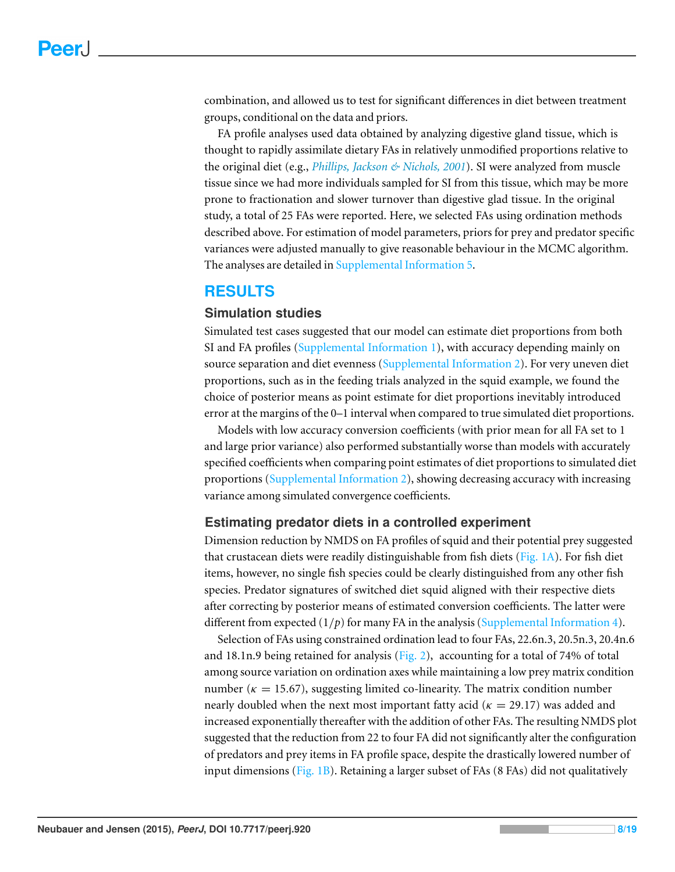combination, and allowed us to test for significant differences in diet between treatment groups, conditional on the data and priors.

FA profile analyses used data obtained by analyzing digestive gland tissue, which is thought to rapidly assimilate dietary FAs in relatively unmodified proportions relative to the original diet (e.g., *[Phillips,](#page-17-14) [Jackson](#page-17-14) [&](#page-17-14) [Nichols,](#page-17-14) [2001](#page-17-14)*). SI were analyzed from muscle tissue since we had more individuals sampled for SI from this tissue, which may be more prone to fractionation and slower turnover than digestive glad tissue. In the original study, a total of 25 FAs were reported. Here, we selected FAs using ordination methods described above. For estimation of model parameters, priors for prey and predator specific variances were adjusted manually to give reasonable behaviour in the MCMC algorithm. The analyses are detailed in [Supplemental](http://dx.doi.org/10.7717/peerj.920/supp-5) [Information](http://dx.doi.org/10.7717/peerj.920/supp-5) [5.](http://dx.doi.org/10.7717/peerj.920/supp-5)

#### **RESULTS**

#### **Simulation studies**

Simulated test cases suggested that our model can estimate diet proportions from both SI and FA profiles [\(Supplemental](http://dx.doi.org/10.7717/peerj.920/supp-1) [Information](http://dx.doi.org/10.7717/peerj.920/supp-1) [1\)](http://dx.doi.org/10.7717/peerj.920/supp-1), with accuracy depending mainly on source separation and diet evenness [\(Supplemental](http://dx.doi.org/10.7717/peerj.920/supp-2) [Information](http://dx.doi.org/10.7717/peerj.920/supp-2) [2\)](http://dx.doi.org/10.7717/peerj.920/supp-2). For very uneven diet proportions, such as in the feeding trials analyzed in the squid example, we found the choice of posterior means as point estimate for diet proportions inevitably introduced error at the margins of the 0–1 interval when compared to true simulated diet proportions.

Models with low accuracy conversion coefficients (with prior mean for all FA set to 1 and large prior variance) also performed substantially worse than models with accurately specified coefficients when comparing point estimates of diet proportions to simulated diet proportions [\(Supplemental](http://dx.doi.org/10.7717/peerj.920/supp-2) [Information](http://dx.doi.org/10.7717/peerj.920/supp-2) [2\)](http://dx.doi.org/10.7717/peerj.920/supp-2), showing decreasing accuracy with increasing variance among simulated convergence coefficients.

#### **Estimating predator diets in a controlled experiment**

Dimension reduction by NMDS on FA profiles of squid and their potential prey suggested that crustacean diets were readily distinguishable from fish diets [\(Fig. 1A\)](#page-8-0). For fish diet items, however, no single fish species could be clearly distinguished from any other fish species. Predator signatures of switched diet squid aligned with their respective diets after correcting by posterior means of estimated conversion coefficients. The latter were different from expected  $(1/p)$  for many FA in the analysis [\(Supplemental](http://dx.doi.org/10.7717/peerj.920/supp-4) [Information](http://dx.doi.org/10.7717/peerj.920/supp-4) [4\)](http://dx.doi.org/10.7717/peerj.920/supp-4).

Selection of FAs using constrained ordination lead to four FAs, 22.6n.3, 20.5n.3, 20.4n.6 and 18.1n.9 being retained for analysis [\(Fig. 2\)](#page-9-0), accounting for a total of 74% of total among source variation on ordination axes while maintaining a low prey matrix condition number ( $\kappa = 15.67$ ), suggesting limited co-linearity. The matrix condition number nearly doubled when the next most important fatty acid ( $\kappa = 29.17$ ) was added and increased exponentially thereafter with the addition of other FAs. The resulting NMDS plot suggested that the reduction from 22 to four FA did not significantly alter the configuration of predators and prey items in FA profile space, despite the drastically lowered number of input dimensions [\(Fig. 1B\)](#page-8-0). Retaining a larger subset of FAs (8 FAs) did not qualitatively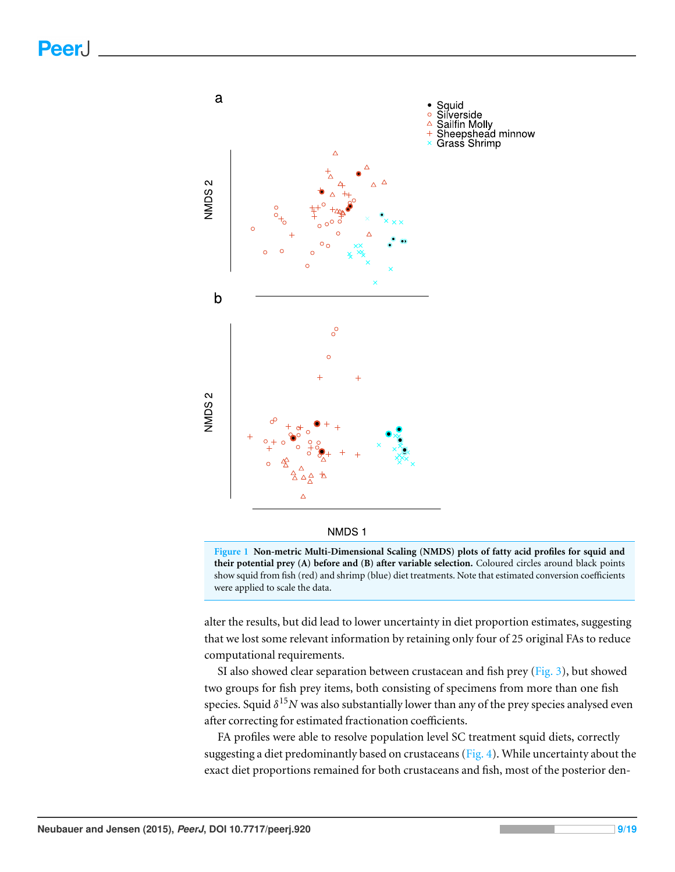<span id="page-8-0"></span>

**Figure 1 Non-metric Multi-Dimensional Scaling (NMDS) plots of fatty acid profiles for squid and their potential prey (A) before and (B) after variable selection.** Coloured circles around black points show squid from fish (red) and shrimp (blue) diet treatments. Note that estimated conversion coefficients were applied to scale the data.

alter the results, but did lead to lower uncertainty in diet proportion estimates, suggesting that we lost some relevant information by retaining only four of 25 original FAs to reduce computational requirements.

SI also showed clear separation between crustacean and fish prey [\(Fig. 3\)](#page-9-1), but showed two groups for fish prey items, both consisting of specimens from more than one fish species. Squid δ <sup>15</sup>*N* was also substantially lower than any of the prey species analysed even after correcting for estimated fractionation coefficients.

FA profiles were able to resolve population level SC treatment squid diets, correctly suggesting a diet predominantly based on crustaceans (Fig.  $4$ ). While uncertainty about the exact diet proportions remained for both crustaceans and fish, most of the posterior den-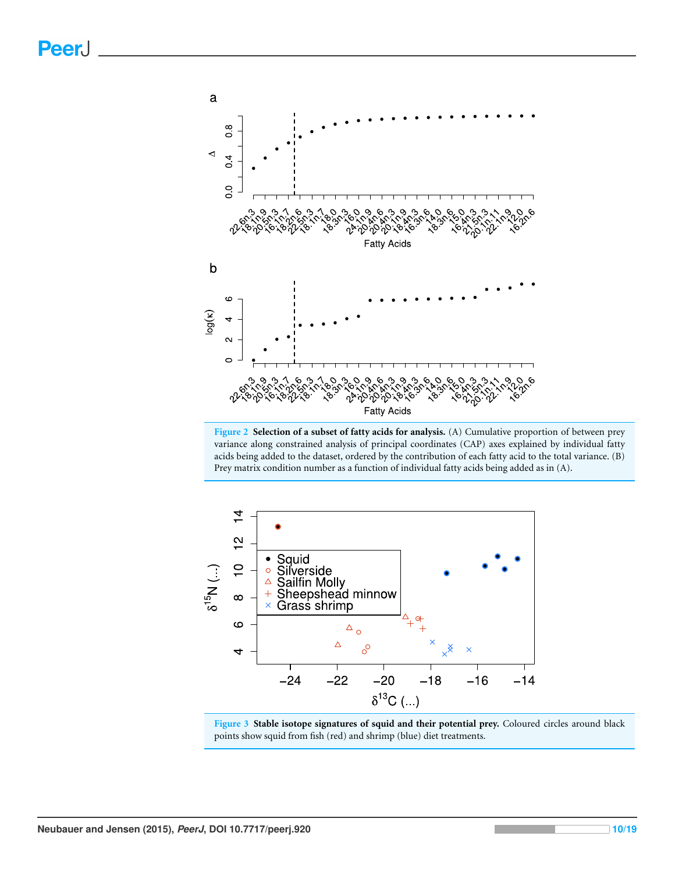<span id="page-9-0"></span>

**Figure 2 Selection of a subset of fatty acids for analysis.** (A) Cumulative proportion of between prey variance along constrained analysis of principal coordinates (CAP) axes explained by individual fatty acids being added to the dataset, ordered by the contribution of each fatty acid to the total variance. (B) Prey matrix condition number as a function of individual fatty acids being added as in (A).

<span id="page-9-1"></span>

**Figure 3 Stable isotope signatures of squid and their potential prey.** Coloured circles around black points show squid from fish (red) and shrimp (blue) diet treatments.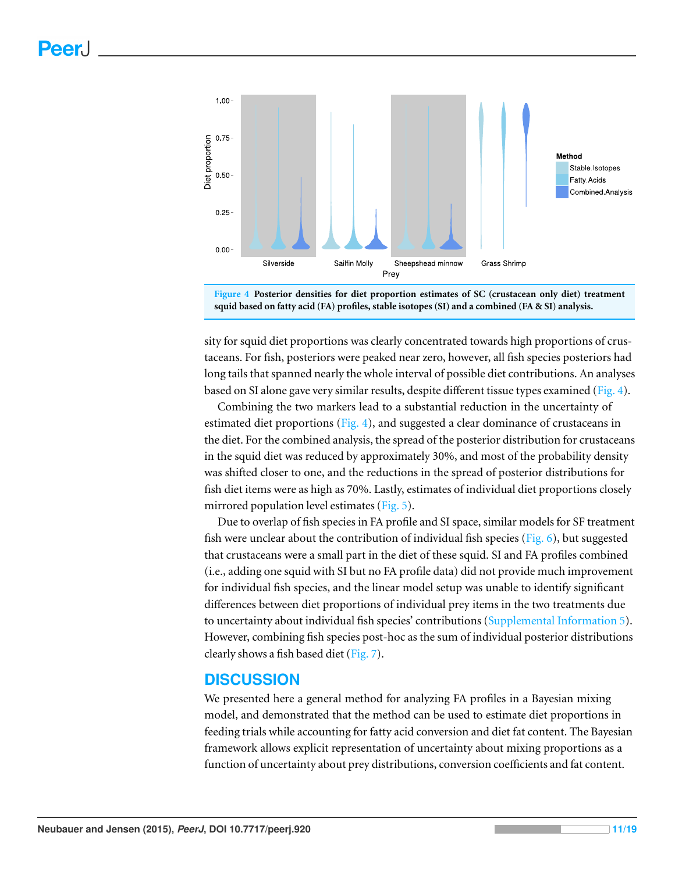<span id="page-10-0"></span>



sity for squid diet proportions was clearly concentrated towards high proportions of crustaceans. For fish, posteriors were peaked near zero, however, all fish species posteriors had long tails that spanned nearly the whole interval of possible diet contributions. An analyses based on SI alone gave very similar results, despite different tissue types examined [\(Fig. 4\)](#page-10-0).

Combining the two markers lead to a substantial reduction in the uncertainty of estimated diet proportions [\(Fig. 4\)](#page-10-0), and suggested a clear dominance of crustaceans in the diet. For the combined analysis, the spread of the posterior distribution for crustaceans in the squid diet was reduced by approximately 30%, and most of the probability density was shifted closer to one, and the reductions in the spread of posterior distributions for fish diet items were as high as 70%. Lastly, estimates of individual diet proportions closely mirrored population level estimates [\(Fig. 5\)](#page-11-0).

Due to overlap of fish species in FA profile and SI space, similar models for SF treatment fish were unclear about the contribution of individual fish species [\(Fig. 6\)](#page-12-0), but suggested that crustaceans were a small part in the diet of these squid. SI and FA profiles combined (i.e., adding one squid with SI but no FA profile data) did not provide much improvement for individual fish species, and the linear model setup was unable to identify significant differences between diet proportions of individual prey items in the two treatments due to uncertainty about individual fish species' contributions [\(Supplemental](http://dx.doi.org/10.7717/peerj.920/supp-5) [Information](http://dx.doi.org/10.7717/peerj.920/supp-5) [5\)](http://dx.doi.org/10.7717/peerj.920/supp-5). However, combining fish species post-hoc as the sum of individual posterior distributions clearly shows a fish based diet [\(Fig. 7\)](#page-12-1).

# **DISCUSSION**

We presented here a general method for analyzing FA profiles in a Bayesian mixing model, and demonstrated that the method can be used to estimate diet proportions in feeding trials while accounting for fatty acid conversion and diet fat content. The Bayesian framework allows explicit representation of uncertainty about mixing proportions as a function of uncertainty about prey distributions, conversion coefficients and fat content.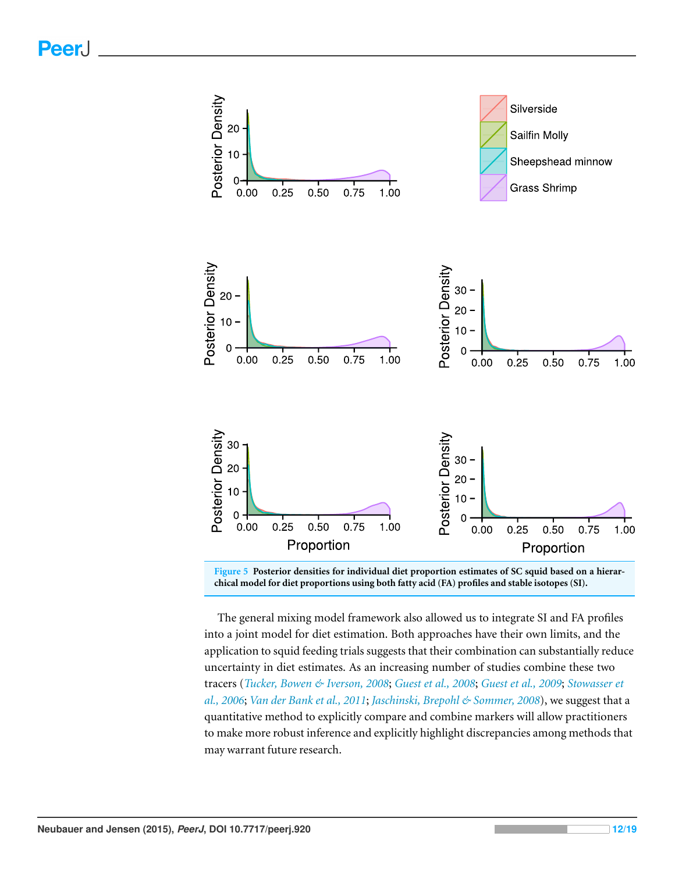<span id="page-11-0"></span>

**Figure 5 Posterior densities for individual diet proportion estimates of SC squid based on a hierarchical model for diet proportions using both fatty acid (FA) profiles and stable isotopes (SI).**

The general mixing model framework also allowed us to integrate SI and FA profiles into a joint model for diet estimation. Both approaches have their own limits, and the application to squid feeding trials suggests that their combination can substantially reduce uncertainty in diet estimates. As an increasing number of studies combine these two tracers (*[Tucker,](#page-18-0) [Bowen](#page-18-0) [&](#page-18-0) [Iverson,](#page-18-0) [2008](#page-18-0)*; *[Guest](#page-16-16) [et](#page-16-16) [al.,](#page-16-16) [2008](#page-16-16)*; *[Guest](#page-16-3) [et](#page-16-3) [al.,](#page-16-3) [2009](#page-16-3)*; *[Stowasser](#page-17-13) [et](#page-17-13) [al.,](#page-17-13) [2006](#page-17-13)*; *[Van](#page-18-5) [der](#page-18-5) [Bank](#page-18-5) [et](#page-18-5) [al.,](#page-18-5) [2011](#page-18-5)*; *[Jaschinski,](#page-17-15) [Brepohl](#page-17-15) [&](#page-17-15) [Sommer,](#page-17-15) [2008](#page-17-15)*), we suggest that a quantitative method to explicitly compare and combine markers will allow practitioners to make more robust inference and explicitly highlight discrepancies among methods that may warrant future research.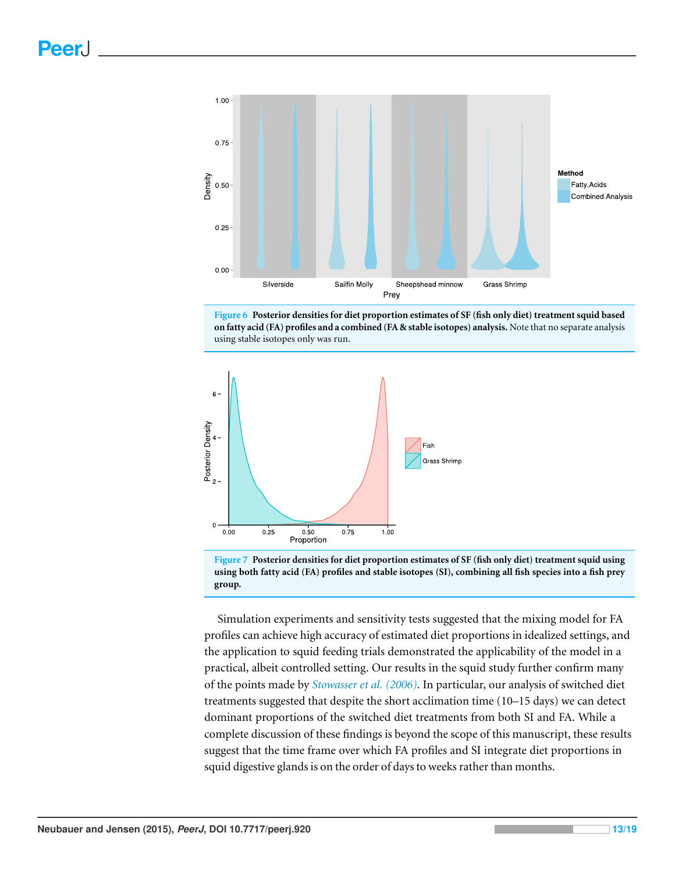<span id="page-12-0"></span>



<span id="page-12-1"></span>



Simulation experiments and sensitivity tests suggested that the mixing model for FA profiles can achieve high accuracy of estimated diet proportions in idealized settings, and the application to squid feeding trials demonstrated the applicability of the model in a practical, albeit controlled setting. Our results in the squid study further confirm many of the points made by *[Stowasser](#page-17-13) [et](#page-17-13) [al.](#page-17-13) [\(2006\)](#page-17-13)*. In particular, our analysis of switched diet treatments suggested that despite the short acclimation time (10–15 days) we can detect dominant proportions of the switched diet treatments from both SI and FA. While a complete discussion of these findings is beyond the scope of this manuscript, these results suggest that the time frame over which FA profiles and SI integrate diet proportions in squid digestive glands is on the order of days to weeks rather than months.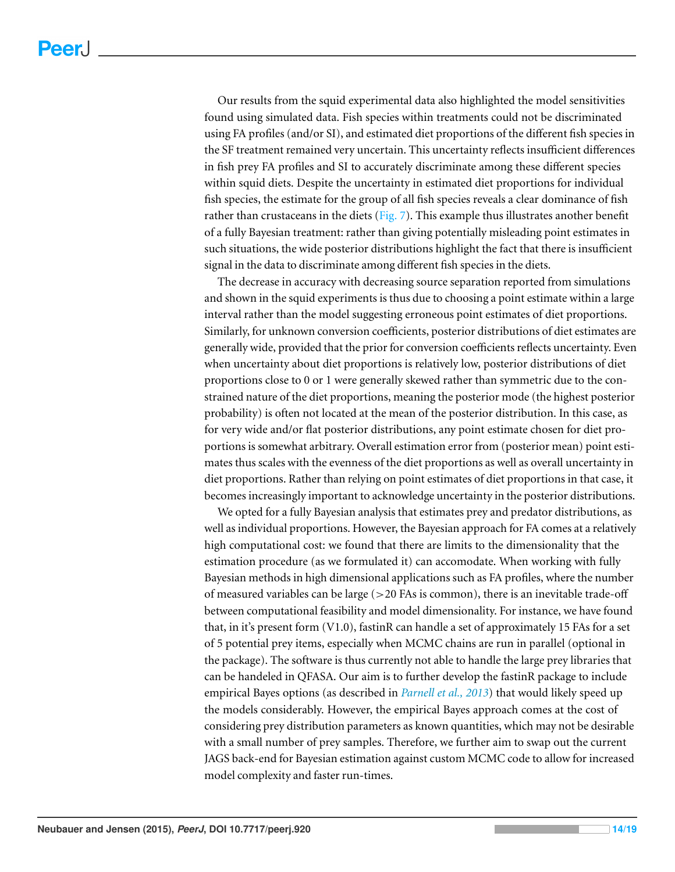Our results from the squid experimental data also highlighted the model sensitivities found using simulated data. Fish species within treatments could not be discriminated using FA profiles (and/or SI), and estimated diet proportions of the different fish species in the SF treatment remained very uncertain. This uncertainty reflects insufficient differences in fish prey FA profiles and SI to accurately discriminate among these different species within squid diets. Despite the uncertainty in estimated diet proportions for individual fish species, the estimate for the group of all fish species reveals a clear dominance of fish rather than crustaceans in the diets ( $Fig. 7$ ). This example thus illustrates another benefit of a fully Bayesian treatment: rather than giving potentially misleading point estimates in such situations, the wide posterior distributions highlight the fact that there is insufficient signal in the data to discriminate among different fish species in the diets.

The decrease in accuracy with decreasing source separation reported from simulations and shown in the squid experiments is thus due to choosing a point estimate within a large interval rather than the model suggesting erroneous point estimates of diet proportions. Similarly, for unknown conversion coefficients, posterior distributions of diet estimates are generally wide, provided that the prior for conversion coefficients reflects uncertainty. Even when uncertainty about diet proportions is relatively low, posterior distributions of diet proportions close to 0 or 1 were generally skewed rather than symmetric due to the constrained nature of the diet proportions, meaning the posterior mode (the highest posterior probability) is often not located at the mean of the posterior distribution. In this case, as for very wide and/or flat posterior distributions, any point estimate chosen for diet proportions is somewhat arbitrary. Overall estimation error from (posterior mean) point estimates thus scales with the evenness of the diet proportions as well as overall uncertainty in diet proportions. Rather than relying on point estimates of diet proportions in that case, it becomes increasingly important to acknowledge uncertainty in the posterior distributions.

We opted for a fully Bayesian analysis that estimates prey and predator distributions, as well as individual proportions. However, the Bayesian approach for FA comes at a relatively high computational cost: we found that there are limits to the dimensionality that the estimation procedure (as we formulated it) can accomodate. When working with fully Bayesian methods in high dimensional applications such as FA profiles, where the number of measured variables can be large  $(>20$  FAs is common), there is an inevitable trade-off between computational feasibility and model dimensionality. For instance, we have found that, in it's present form (V1.0), fastinR can handle a set of approximately 15 FAs for a set of 5 potential prey items, especially when MCMC chains are run in parallel (optional in the package). The software is thus currently not able to handle the large prey libraries that can be handeled in QFASA. Our aim is to further develop the fastinR package to include empirical Bayes options (as described in *[Parnell](#page-17-4) [et](#page-17-4) [al.,](#page-17-4) [2013](#page-17-4)*) that would likely speed up the models considerably. However, the empirical Bayes approach comes at the cost of considering prey distribution parameters as known quantities, which may not be desirable with a small number of prey samples. Therefore, we further aim to swap out the current JAGS back-end for Bayesian estimation against custom MCMC code to allow for increased model complexity and faster run-times.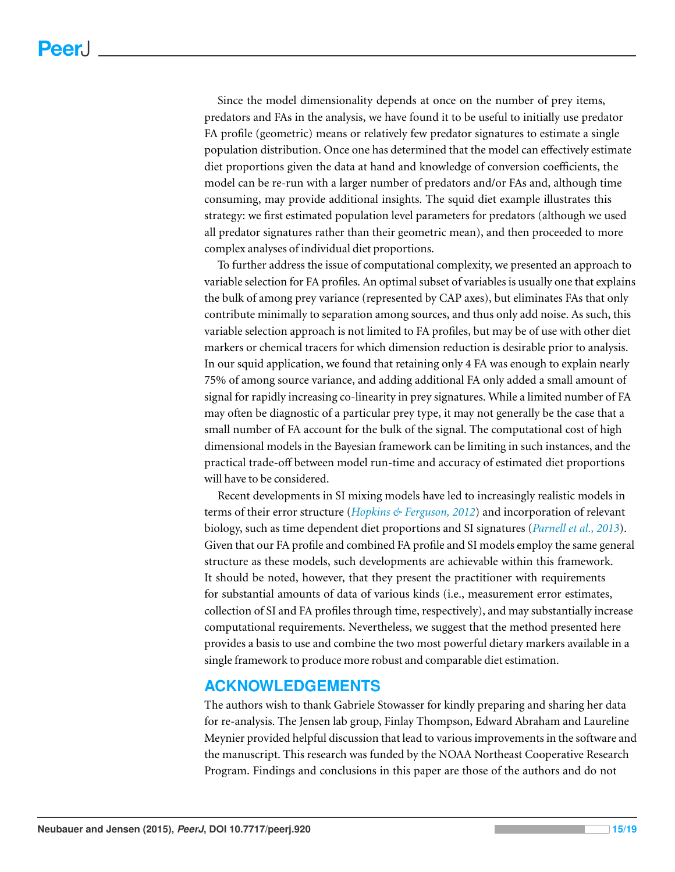Since the model dimensionality depends at once on the number of prey items, predators and FAs in the analysis, we have found it to be useful to initially use predator FA profile (geometric) means or relatively few predator signatures to estimate a single population distribution. Once one has determined that the model can effectively estimate diet proportions given the data at hand and knowledge of conversion coefficients, the model can be re-run with a larger number of predators and/or FAs and, although time consuming, may provide additional insights. The squid diet example illustrates this strategy: we first estimated population level parameters for predators (although we used all predator signatures rather than their geometric mean), and then proceeded to more complex analyses of individual diet proportions.

To further address the issue of computational complexity, we presented an approach to variable selection for FA profiles. An optimal subset of variables is usually one that explains the bulk of among prey variance (represented by CAP axes), but eliminates FAs that only contribute minimally to separation among sources, and thus only add noise. As such, this variable selection approach is not limited to FA profiles, but may be of use with other diet markers or chemical tracers for which dimension reduction is desirable prior to analysis. In our squid application, we found that retaining only 4 FA was enough to explain nearly 75% of among source variance, and adding additional FA only added a small amount of signal for rapidly increasing co-linearity in prey signatures. While a limited number of FA may often be diagnostic of a particular prey type, it may not generally be the case that a small number of FA account for the bulk of the signal. The computational cost of high dimensional models in the Bayesian framework can be limiting in such instances, and the practical trade-off between model run-time and accuracy of estimated diet proportions will have to be considered.

Recent developments in SI mixing models have led to increasingly realistic models in terms of their error structure (*[Hopkins](#page-16-4) [&](#page-16-4) [Ferguson,](#page-16-4) [2012](#page-16-4)*) and incorporation of relevant biology, such as time dependent diet proportions and SI signatures (*[Parnell](#page-17-4) [et](#page-17-4) [al.,](#page-17-4) [2013](#page-17-4)*). Given that our FA profile and combined FA profile and SI models employ the same general structure as these models, such developments are achievable within this framework. It should be noted, however, that they present the practitioner with requirements for substantial amounts of data of various kinds (i.e., measurement error estimates, collection of SI and FA profiles through time, respectively), and may substantially increase computational requirements. Nevertheless, we suggest that the method presented here provides a basis to use and combine the two most powerful dietary markers available in a single framework to produce more robust and comparable diet estimation.

# **ACKNOWLEDGEMENTS**

The authors wish to thank Gabriele Stowasser for kindly preparing and sharing her data for re-analysis. The Jensen lab group, Finlay Thompson, Edward Abraham and Laureline Meynier provided helpful discussion that lead to various improvements in the software and the manuscript. This research was funded by the NOAA Northeast Cooperative Research Program. Findings and conclusions in this paper are those of the authors and do not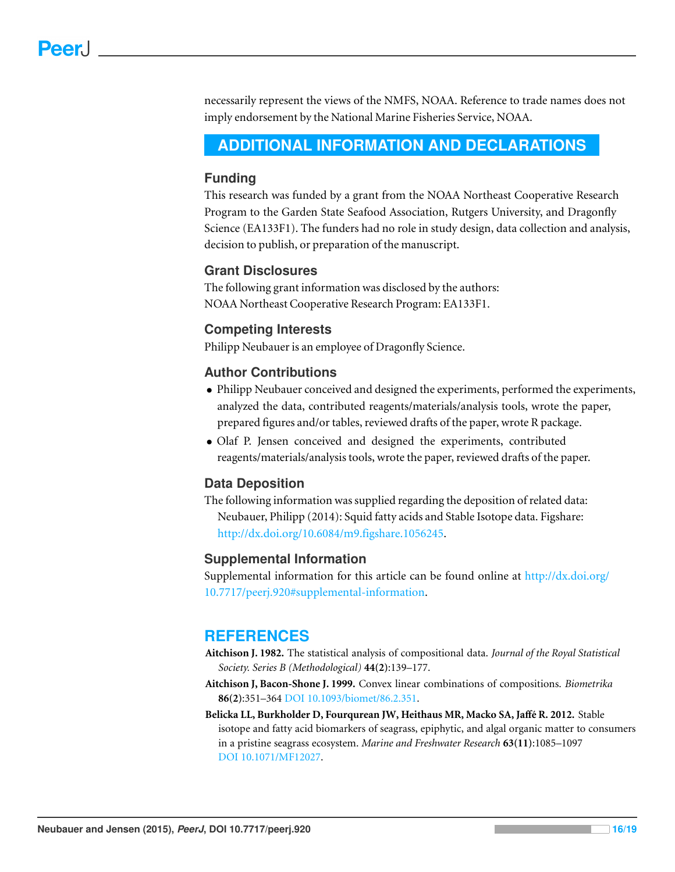necessarily represent the views of the NMFS, NOAA. Reference to trade names does not imply endorsement by the National Marine Fisheries Service, NOAA.

# <span id="page-15-0"></span>**ADDITIONAL INFORMATION AND DECLARATIONS**

#### **Funding**

This research was funded by a grant from the NOAA Northeast Cooperative Research Program to the Garden State Seafood Association, Rutgers University, and Dragonfly Science (EA133F1). The funders had no role in study design, data collection and analysis, decision to publish, or preparation of the manuscript.

#### **Grant Disclosures**

The following grant information was disclosed by the authors: NOAA Northeast Cooperative Research Program: EA133F1.

#### **Competing Interests**

Philipp Neubauer is an employee of Dragonfly Science.

#### **Author Contributions**

- Philipp Neubauer conceived and designed the experiments, performed the experiments, analyzed the data, contributed reagents/materials/analysis tools, wrote the paper, prepared figures and/or tables, reviewed drafts of the paper, wrote R package.
- Olaf P. Jensen conceived and designed the experiments, contributed reagents/materials/analysis tools, wrote the paper, reviewed drafts of the paper.

#### **Data Deposition**

The following information was supplied regarding the deposition of related data: Neubauer, Philipp (2014): Squid fatty acids and Stable Isotope data. Figshare: [http://dx.doi.org/10.6084/m9.figshare.1056245.](http://dx.doi.org/10.6084/m9.figshare.1056245)

#### **Supplemental Information**

Supplemental information for this article can be found online at [http://dx.doi.org/](http://dx.doi.org/10.7717/peerj.920#supplemental-information) [10.7717/peerj.920#supplemental-information.](http://dx.doi.org/10.7717/peerj.920#supplemental-information)

# **REFERENCES**

- <span id="page-15-2"></span>**Aitchison J. 1982.** The statistical analysis of compositional data. *Journal of the Royal Statistical Society. Series B (Methodological)* **44(2)**:139–177.
- <span id="page-15-3"></span>**Aitchison J, Bacon-Shone J. 1999.** Convex linear combinations of compositions. *Biometrika* **86(2)**:351–364 DOI [10.1093/biomet/86.2.351.](http://dx.doi.org/10.1093/biomet/86.2.351)
- <span id="page-15-1"></span>**Belicka LL, Burkholder D, Fourqurean JW, Heithaus MR, Macko SA, Jaffe R. 2012. ´** Stable isotope and fatty acid biomarkers of seagrass, epiphytic, and algal organic matter to consumers in a pristine seagrass ecosystem. *Marine and Freshwater Research* **63(11)**:1085–1097 DOI [10.1071/MF12027.](http://dx.doi.org/10.1071/MF12027)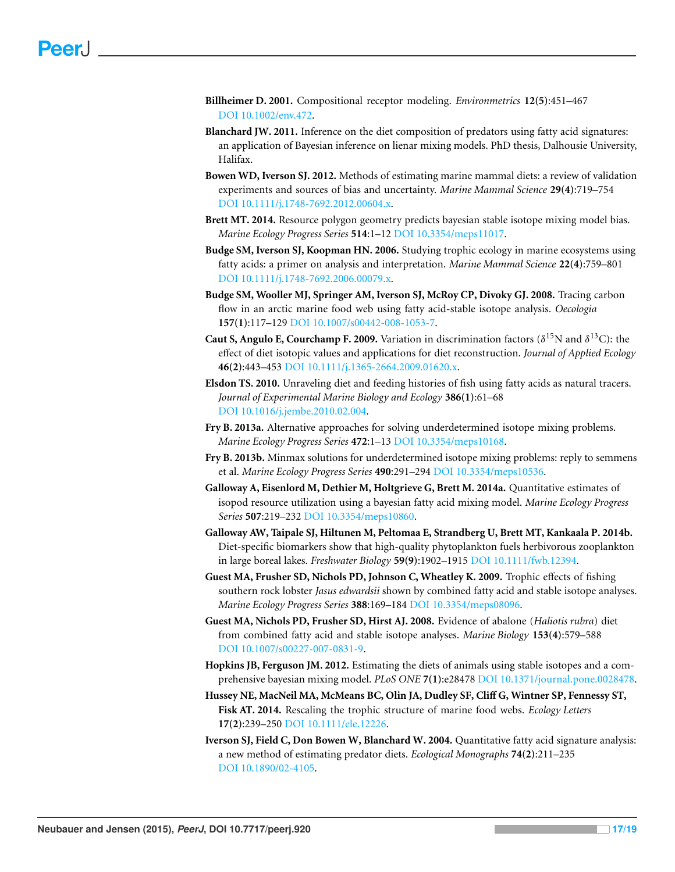- <span id="page-16-11"></span>**Billheimer D. 2001.** Compositional receptor modeling. *Environmetrics* **12(5)**:451–467 DOI [10.1002/env.472.](http://dx.doi.org/10.1002/env.472)
- <span id="page-16-10"></span>**Blanchard JW. 2011.** Inference on the diet composition of predators using fatty acid signatures: an application of Bayesian inference on lienar mixing models. PhD thesis, Dalhousie University, Halifax.
- <span id="page-16-0"></span>**Bowen WD, Iverson SJ. 2012.** Methods of estimating marine mammal diets: a review of validation experiments and sources of bias and uncertainty. *Marine Mammal Science* **29(4)**:719–754 DOI [10.1111/j.1748-7692.2012.00604.x.](http://dx.doi.org/10.1111/j.1748-7692.2012.00604.x)
- <span id="page-16-7"></span>**Brett MT. 2014.** Resource polygon geometry predicts bayesian stable isotope mixing model bias. *Marine Ecology Progress Series* **514**:1–12 DOI [10.3354/meps11017.](http://dx.doi.org/10.3354/meps11017)
- <span id="page-16-13"></span>**Budge SM, Iverson SJ, Koopman HN. 2006.** Studying trophic ecology in marine ecosystems using fatty acids: a primer on analysis and interpretation. *Marine Mammal Science* **22(4)**:759–801 DOI [10.1111/j.1748-7692.2006.00079.x.](http://dx.doi.org/10.1111/j.1748-7692.2006.00079.x)
- <span id="page-16-2"></span>**Budge SM, Wooller MJ, Springer AM, Iverson SJ, McRoy CP, Divoky GJ. 2008.** Tracing carbon flow in an arctic marine food web using fatty acid-stable isotope analysis. *Oecologia* **157(1)**:117–129 DOI [10.1007/s00442-008-1053-7.](http://dx.doi.org/10.1007/s00442-008-1053-7)
- <span id="page-16-15"></span>**Caut S, Angulo E, Courchamp F. 2009.** Variation in discrimination factors ( $\delta^{15}N$  and  $\delta^{13}C$ ): the effect of diet isotopic values and applications for diet reconstruction. *Journal of Applied Ecology* **46(2)**:443–453 DOI [10.1111/j.1365-2664.2009.01620.x.](http://dx.doi.org/10.1111/j.1365-2664.2009.01620.x)
- <span id="page-16-1"></span>**Elsdon TS. 2010.** Unraveling diet and feeding histories of fish using fatty acids as natural tracers. *Journal of Experimental Marine Biology and Ecology* **386(1)**:61–68 DOI [10.1016/j.jembe.2010.02.004.](http://dx.doi.org/10.1016/j.jembe.2010.02.004)
- <span id="page-16-5"></span>**Fry B. 2013a.** Alternative approaches for solving underdetermined isotope mixing problems. *Marine Ecology Progress Series* **472**:1–13 DOI [10.3354/meps10168.](http://dx.doi.org/10.3354/meps10168)
- <span id="page-16-6"></span>**Fry B. 2013b.** Minmax solutions for underdetermined isotope mixing problems: reply to semmens et al. *Marine Ecology Progress Series* **490**:291–294 DOI [10.3354/meps10536.](http://dx.doi.org/10.3354/meps10536)
- <span id="page-16-8"></span>**Galloway A, Eisenlord M, Dethier M, Holtgrieve G, Brett M. 2014a.** Quantitative estimates of isopod resource utilization using a bayesian fatty acid mixing model. *Marine Ecology Progress Series* **507**:219–232 DOI [10.3354/meps10860.](http://dx.doi.org/10.3354/meps10860)
- <span id="page-16-9"></span>**Galloway AW, Taipale SJ, Hiltunen M, Peltomaa E, Strandberg U, Brett MT, Kankaala P. 2014b.** Diet-specific biomarkers show that high-quality phytoplankton fuels herbivorous zooplankton in large boreal lakes. *Freshwater Biology* **59(9)**:1902–1915 DOI [10.1111/fwb.12394.](http://dx.doi.org/10.1111/fwb.12394)
- <span id="page-16-3"></span>**Guest MA, Frusher SD, Nichols PD, Johnson C, Wheatley K. 2009.** Trophic effects of fishing southern rock lobster *Jasus edwardsii* shown by combined fatty acid and stable isotope analyses. *Marine Ecology Progress Series* **388**:169–184 DOI [10.3354/meps08096.](http://dx.doi.org/10.3354/meps08096)
- <span id="page-16-16"></span>**Guest MA, Nichols PD, Frusher SD, Hirst AJ. 2008.** Evidence of abalone (*Haliotis rubra*) diet from combined fatty acid and stable isotope analyses. *Marine Biology* **153(4)**:579–588 DOI [10.1007/s00227-007-0831-9.](http://dx.doi.org/10.1007/s00227-007-0831-9)
- <span id="page-16-4"></span>**Hopkins JB, Ferguson JM. 2012.** Estimating the diets of animals using stable isotopes and a comprehensive bayesian mixing model. *PLoS ONE* **7(1)**:e28478 DOI [10.1371/journal.pone.0028478.](http://dx.doi.org/10.1371/journal.pone.0028478)
- <span id="page-16-14"></span>**Hussey NE, MacNeil MA, McMeans BC, Olin JA, Dudley SF, Cliff G, Wintner SP, Fennessy ST, Fisk AT. 2014.** Rescaling the trophic structure of marine food webs. *Ecology Letters* **17(2)**:239–250 DOI [10.1111/ele.12226.](http://dx.doi.org/10.1111/ele.12226)
- <span id="page-16-12"></span>**Iverson SJ, Field C, Don Bowen W, Blanchard W. 2004.** Quantitative fatty acid signature analysis: a new method of estimating predator diets. *Ecological Monographs* **74(2)**:211–235 DOI [10.1890/02-4105.](http://dx.doi.org/10.1890/02-4105)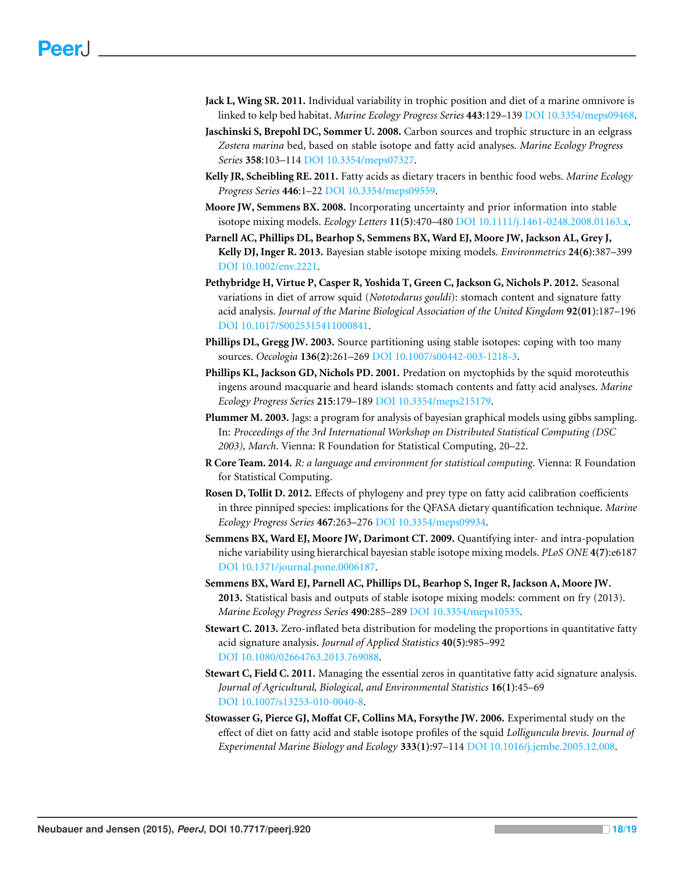- <span id="page-17-1"></span>**Jack L, Wing SR. 2011.** Individual variability in trophic position and diet of a marine omnivore is linked to kelp bed habitat. *Marine Ecology Progress Series* **443**:129–139 DOI [10.3354/meps09468.](http://dx.doi.org/10.3354/meps09468)
- <span id="page-17-15"></span>**Jaschinski S, Brepohl DC, Sommer U. 2008.** Carbon sources and trophic structure in an eelgrass *Zostera marina* bed, based on stable isotope and fatty acid analyses. *Marine Ecology Progress Series* **358**:103–114 DOI [10.3354/meps07327.](http://dx.doi.org/10.3354/meps07327)
- <span id="page-17-0"></span>**Kelly JR, Scheibling RE. 2011.** Fatty acids as dietary tracers in benthic food webs. *Marine Ecology Progress Series* **446**:1–22 DOI [10.3354/meps09559.](http://dx.doi.org/10.3354/meps09559)
- <span id="page-17-3"></span>**Moore JW, Semmens BX. 2008.** Incorporating uncertainty and prior information into stable isotope mixing models. *Ecology Letters* **11(5)**:470–480 DOI [10.1111/j.1461-0248.2008.01163.x.](http://dx.doi.org/10.1111/j.1461-0248.2008.01163.x)
- <span id="page-17-4"></span>**Parnell AC, Phillips DL, Bearhop S, Semmens BX, Ward EJ, Moore JW, Jackson AL, Grey J, Kelly DJ, Inger R. 2013.** Bayesian stable isotope mixing models. *Environmetrics* **24(6)**:387–399 DOI [10.1002/env.2221.](http://dx.doi.org/10.1002/env.2221)
- <span id="page-17-2"></span>**Pethybridge H, Virtue P, Casper R, Yoshida T, Green C, Jackson G, Nichols P. 2012.** Seasonal variations in diet of arrow squid (*Nototodarus gouldi*): stomach content and signature fatty acid analysis. *Journal of the Marine Biological Association of the United Kingdom* **92(01)**:187–196 DOI [10.1017/S0025315411000841.](http://dx.doi.org/10.1017/S0025315411000841)
- <span id="page-17-6"></span>**Phillips DL, Gregg JW. 2003.** Source partitioning using stable isotopes: coping with too many sources. *Oecologia* **136(2)**:261–269 DOI [10.1007/s00442-003-1218-3.](http://dx.doi.org/10.1007/s00442-003-1218-3)
- <span id="page-17-14"></span>**Phillips KL, Jackson GD, Nichols PD. 2001.** Predation on myctophids by the squid moroteuthis ingens around macquarie and heard islands: stomach contents and fatty acid analyses. *Marine Ecology Progress Series* **215**:179–189 DOI [10.3354/meps215179.](http://dx.doi.org/10.3354/meps215179)
- <span id="page-17-12"></span>**Plummer M. 2003.** Jags: a program for analysis of bayesian graphical models using gibbs sampling. In: *Proceedings of the 3rd International Workshop on Distributed Statistical Computing (DSC 2003), March*. Vienna: R Foundation for Statistical Computing, 20–22.
- <span id="page-17-11"></span>**R Core Team. 2014.** *R: a language and environment for statistical computing*. Vienna: R Foundation for Statistical Computing.
- <span id="page-17-10"></span>**Rosen D, Tollit D. 2012.** Effects of phylogeny and prey type on fatty acid calibration coefficients in three pinniped species: implications for the QFASA dietary quantification technique. *Marine Ecology Progress Series* **467**:263–276 DOI [10.3354/meps09934.](http://dx.doi.org/10.3354/meps09934)
- <span id="page-17-5"></span>**Semmens BX, Ward EJ, Moore JW, Darimont CT. 2009.** Quantifying inter- and intra-population niche variability using hierarchical bayesian stable isotope mixing models. *PLoS ONE* **4(7)**:e6187 DOI [10.1371/journal.pone.0006187.](http://dx.doi.org/10.1371/journal.pone.0006187)
- <span id="page-17-7"></span>**Semmens BX, Ward EJ, Parnell AC, Phillips DL, Bearhop S, Inger R, Jackson A, Moore JW. 2013.** Statistical basis and outputs of stable isotope mixing models: comment on fry (2013). *Marine Ecology Progress Series* **490**:285–289 DOI [10.3354/meps10535.](http://dx.doi.org/10.3354/meps10535)
- <span id="page-17-9"></span>**Stewart C. 2013.** Zero-inflated beta distribution for modeling the proportions in quantitative fatty acid signature analysis. *Journal of Applied Statistics* **40(5)**:985–992 DOI [10.1080/02664763.2013.769088.](http://dx.doi.org/10.1080/02664763.2013.769088)
- <span id="page-17-8"></span>**Stewart C, Field C. 2011.** Managing the essential zeros in quantitative fatty acid signature analysis. *Journal of Agricultural, Biological, and Environmental Statistics* **16(1)**:45–69 DOI [10.1007/s13253-010-0040-8.](http://dx.doi.org/10.1007/s13253-010-0040-8)
- <span id="page-17-13"></span>**Stowasser G, Pierce GJ, Moffat CF, Collins MA, Forsythe JW. 2006.** Experimental study on the effect of diet on fatty acid and stable isotope profiles of the squid *Lolliguncula brevis*. *Journal of Experimental Marine Biology and Ecology* **333(1)**:97–114 DOI [10.1016/j.jembe.2005.12.008.](http://dx.doi.org/10.1016/j.jembe.2005.12.008)